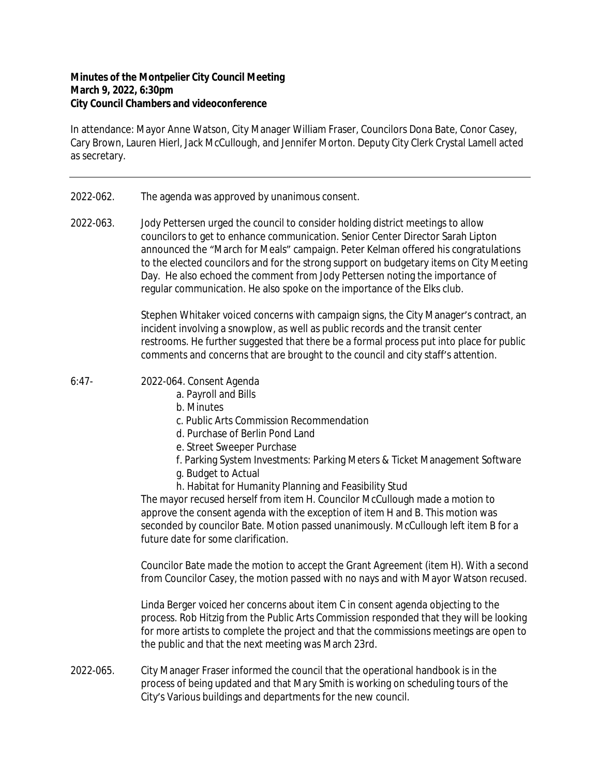## **Minutes of the Montpelier City Council Meeting March 9, 2022, 6:30pm City Council Chambers and videoconference**

In attendance: Mayor Anne Watson, City Manager William Fraser, Councilors Dona Bate, Conor Casey, Cary Brown, Lauren Hierl, Jack McCullough, and Jennifer Morton. Deputy City Clerk Crystal Lamell acted as secretary.

- 2022-062. The agenda was approved by unanimous consent.
- 2022-063. Jody Pettersen urged the council to consider holding district meetings to allow councilors to get to enhance communication. Senior Center Director Sarah Lipton announced the "March for Meals" campaign. Peter Kelman offered his congratulations to the elected councilors and for the strong support on budgetary items on City Meeting Day. He also echoed the comment from Jody Pettersen noting the importance of regular communication. He also spoke on the importance of the Elks club.

Stephen Whitaker voiced concerns with campaign signs, the City Manager's contract, an incident involving a snowplow, as well as public records and the transit center restrooms. He further suggested that there be a formal process put into place for public comments and concerns that are brought to the council and city staff's attention.

- 6:47- 2022-064. Consent Agenda
	- a. Payroll and Bills
	- b. Minutes
	- c. Public Arts Commission Recommendation
	- d. Purchase of Berlin Pond Land
	- e. Street Sweeper Purchase
	- f. Parking System Investments: Parking Meters & Ticket Management Software
	- g. Budget to Actual
	- h. Habitat for Humanity Planning and Feasibility Stud

The mayor recused herself from item H. Councilor McCullough made a motion to approve the consent agenda with the exception of item H and B. This motion was seconded by councilor Bate. Motion passed unanimously. McCullough left item B for a future date for some clarification.

Councilor Bate made the motion to accept the Grant Agreement (item H). With a second from Councilor Casey, the motion passed with no nays and with Mayor Watson recused.

Linda Berger voiced her concerns about item C in consent agenda objecting to the process. Rob Hitzig from the Public Arts Commission responded that they will be looking for more artists to complete the project and that the commissions meetings are open to the public and that the next meeting was March 23rd.

2022-065. City Manager Fraser informed the council that the operational handbook is in the process of being updated and that Mary Smith is working on scheduling tours of the City's Various buildings and departments for the new council.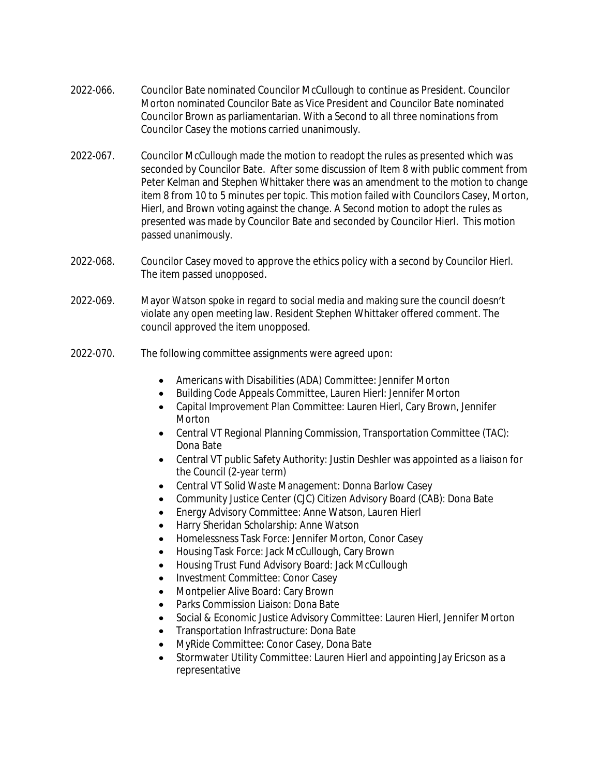- 2022-066. Councilor Bate nominated Councilor McCullough to continue as President. Councilor Morton nominated Councilor Bate as Vice President and Councilor Bate nominated Councilor Brown as parliamentarian. With a Second to all three nominations from Councilor Casey the motions carried unanimously.
- 2022-067. Councilor McCullough made the motion to readopt the rules as presented which was seconded by Councilor Bate. After some discussion of Item 8 with public comment from Peter Kelman and Stephen Whittaker there was an amendment to the motion to change item 8 from 10 to 5 minutes per topic. This motion failed with Councilors Casey, Morton, Hierl, and Brown voting against the change. A Second motion to adopt the rules as presented was made by Councilor Bate and seconded by Councilor Hierl. This motion passed unanimously.
- 2022-068. Councilor Casey moved to approve the ethics policy with a second by Councilor Hierl. The item passed unopposed.
- 2022-069. Mayor Watson spoke in regard to social media and making sure the council doesn't violate any open meeting law. Resident Stephen Whittaker offered comment. The council approved the item unopposed.
- 2022-070. The following committee assignments were agreed upon:
	- Americans with Disabilities (ADA) Committee: Jennifer Morton
	- Building Code Appeals Committee, Lauren Hierl: Jennifer Morton
	- Capital Improvement Plan Committee: Lauren Hierl, Cary Brown, Jennifer Morton
	- Central VT Regional Planning Commission, Transportation Committee (TAC): Dona Bate
	- Central VT public Safety Authority: Justin Deshler was appointed as a liaison for the Council (2-year term)
	- Central VT Solid Waste Management: Donna Barlow Casey
	- Community Justice Center (CJC) Citizen Advisory Board (CAB): Dona Bate
	- Energy Advisory Committee: Anne Watson, Lauren Hierl
	- Harry Sheridan Scholarship: Anne Watson
	- Homelessness Task Force: Jennifer Morton, Conor Casey
	- Housing Task Force: Jack McCullough, Cary Brown
	- Housing Trust Fund Advisory Board: Jack McCullough
	- Investment Committee: Conor Casey
	- Montpelier Alive Board: Cary Brown
	- Parks Commission Liaison: Dona Bate
	- Social & Economic Justice Advisory Committee: Lauren Hierl, Jennifer Morton
	- Transportation Infrastructure: Dona Bate
	- MyRide Committee: Conor Casey, Dona Bate
	- Stormwater Utility Committee: Lauren Hierl and appointing Jay Ericson as a representative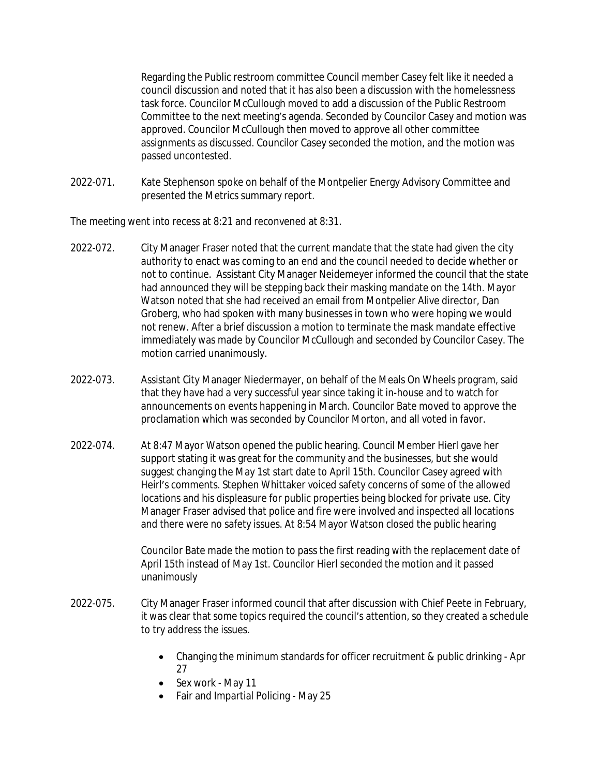Regarding the Public restroom committee Council member Casey felt like it needed a council discussion and noted that it has also been a discussion with the homelessness task force. Councilor McCullough moved to add a discussion of the Public Restroom Committee to the next meeting's agenda. Seconded by Councilor Casey and motion was approved. Councilor McCullough then moved to approve all other committee assignments as discussed. Councilor Casey seconded the motion, and the motion was passed uncontested.

2022-071. Kate Stephenson spoke on behalf of the Montpelier Energy Advisory Committee and presented the Metrics summary report.

The meeting went into recess at 8:21 and reconvened at 8:31.

- 2022-072. City Manager Fraser noted that the current mandate that the state had given the city authority to enact was coming to an end and the council needed to decide whether or not to continue. Assistant City Manager Neidemeyer informed the council that the state had announced they will be stepping back their masking mandate on the 14th. Mayor Watson noted that she had received an email from Montpelier Alive director, Dan Groberg, who had spoken with many businesses in town who were hoping we would not renew. After a brief discussion a motion to terminate the mask mandate effective immediately was made by Councilor McCullough and seconded by Councilor Casey. The motion carried unanimously.
- 2022-073. Assistant City Manager Niedermayer, on behalf of the Meals On Wheels program, said that they have had a very successful year since taking it in-house and to watch for announcements on events happening in March. Councilor Bate moved to approve the proclamation which was seconded by Councilor Morton, and all voted in favor.
- 2022-074. At 8:47 Mayor Watson opened the public hearing. Council Member Hierl gave her support stating it was great for the community and the businesses, but she would suggest changing the May 1st start date to April 15th. Councilor Casey agreed with Heirl's comments. Stephen Whittaker voiced safety concerns of some of the allowed locations and his displeasure for public properties being blocked for private use. City Manager Fraser advised that police and fire were involved and inspected all locations and there were no safety issues. At 8:54 Mayor Watson closed the public hearing

Councilor Bate made the motion to pass the first reading with the replacement date of April 15th instead of May 1st. Councilor Hierl seconded the motion and it passed unanimously

- 2022-075. City Manager Fraser informed council that after discussion with Chief Peete in February, it was clear that some topics required the council's attention, so they created a schedule to try address the issues.
	- Changing the minimum standards for officer recruitment & public drinking Apr 27
	- Sex work May 11
	- Fair and Impartial Policing May 25